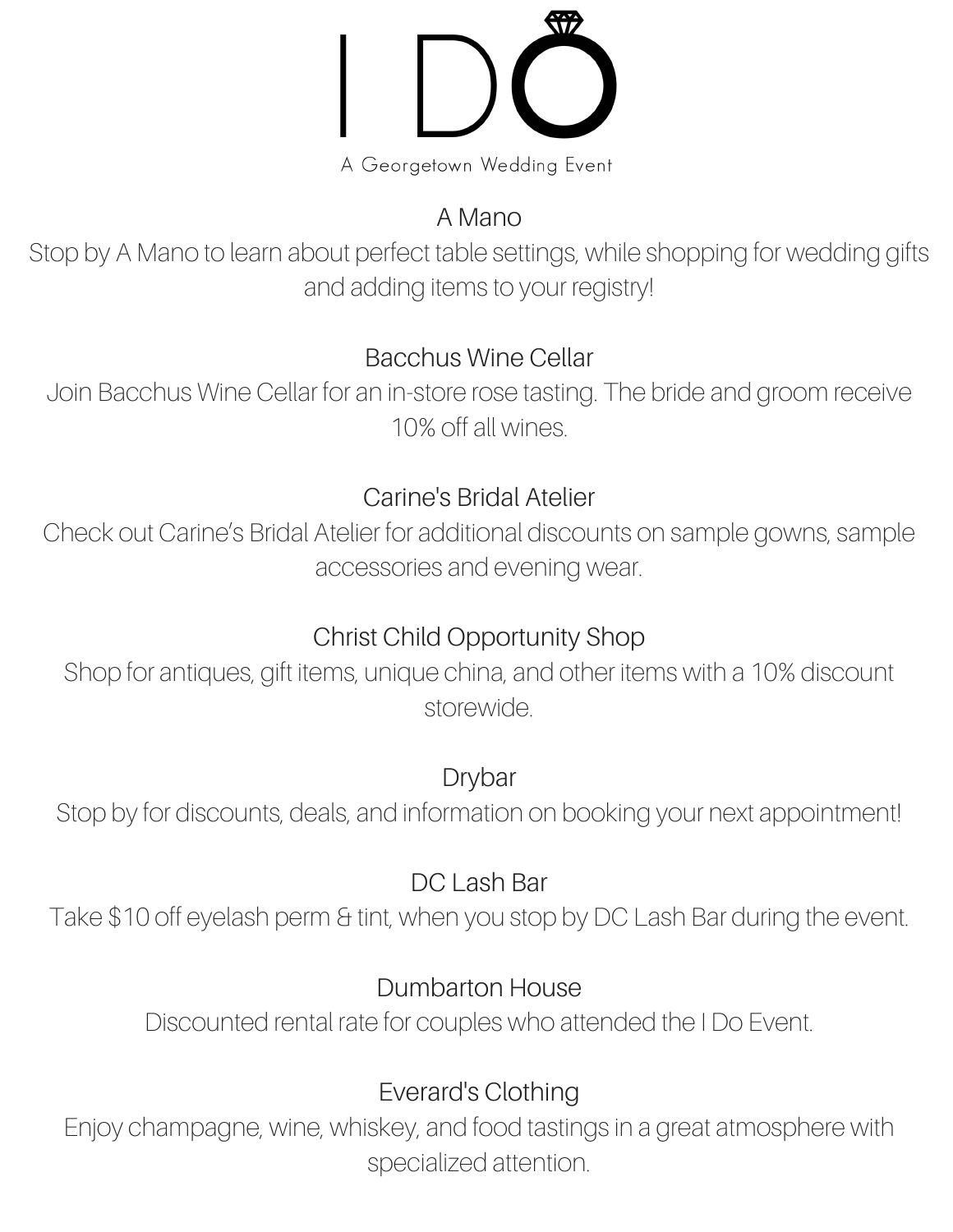A Georgetown Wedding Event

# A Mano

Stop by A Mano to learn about perfect table settings, while shopping for wedding gifts and adding items to your registry!

### Bacchus Wine Cellar

Join Bacchus Wine Cellar for an in-store rose tasting. The bride and groom receive 10% off all wines.

### Carine's Bridal Atelier

Check out Carine's Bridal Atelier for additional discounts on sample gowns, sample accessories and evening wear.

# Christ Child Opportunity Shop

Shop for antiques, gift items, unique china, and other items with a 10% discount storewide.

## Drybar

Stop by for discounts, deals, and information on booking your next appointment!

## DC Lash Bar

Take \$10 off eyelash perm & tint, when you stop by DC Lash Bar during the event.

## Dumbarton House

Discounted rental rate for couples who attended the I Do Event.

# Everard's Clothing

Enjoy champagne, wine, whiskey, and food tastings in a great atmosphere with specialized attention.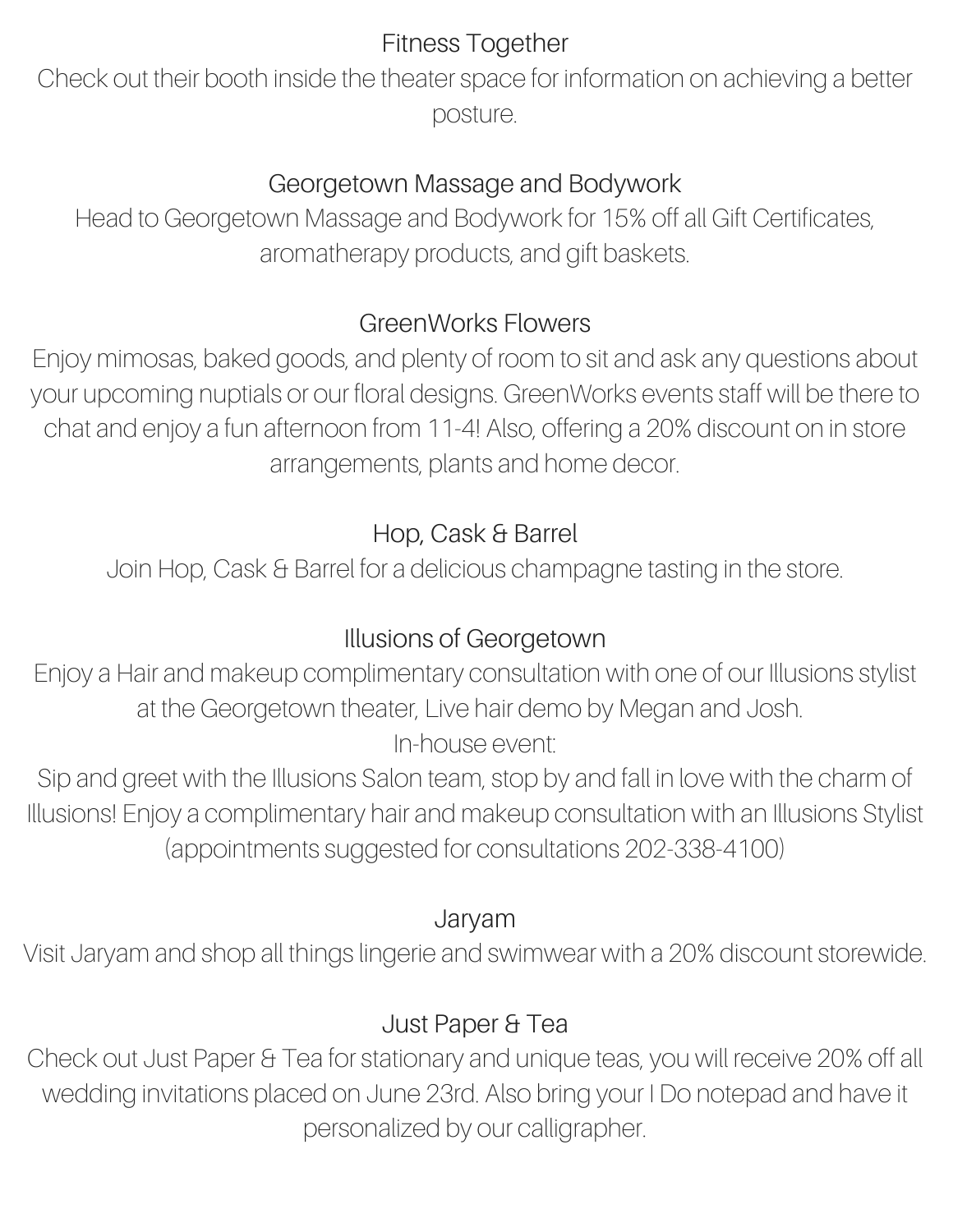## Fitness Together

Check out their booth inside the theater space for information on achieving a better posture.

### Georgetown Massage and Bodywork

Head to Georgetown Massage and Bodywork for 15% off all Gift Certificates, aromatherapy products, and gift baskets.

## GreenWorks Flowers

Enjoy mimosas, baked goods, and plenty of room to sit and ask any questions about your upcoming nuptials or our floral designs. GreenWorks events staff will be there to chat and enjoy a fun afternoon from 11-4! Also, offering a 20% discount on in store arrangements, plants and home decor.

# Hop, Cask & Barrel

Join Hop, Cask & Barrel for a delicious champagne tasting in the store.

# Illusions of Georgetown

Enjoy a Hair and makeup complimentary consultation with one of our Illusions stylist at the Georgetown theater, Live hair demo by Megan and Josh. In-house event:

Sip and greet with the Illusions Salon team, stop by and fall in love with the charm of Illusions! Enjoy a complimentary hair and makeup consultation with an Illusions Stylist (appointments suggested for consultations 202-338-4100)

### Jaryam

Visit Jaryam and shop all things lingerie and swimwear with a 20% discount storewide.

# Just Paper & Tea

Check out Just Paper & Tea for stationary and unique teas, you will receive 20% off all wedding invitations placed on June 23rd. Also bring your I Do notepad and have it personalized by our calligrapher.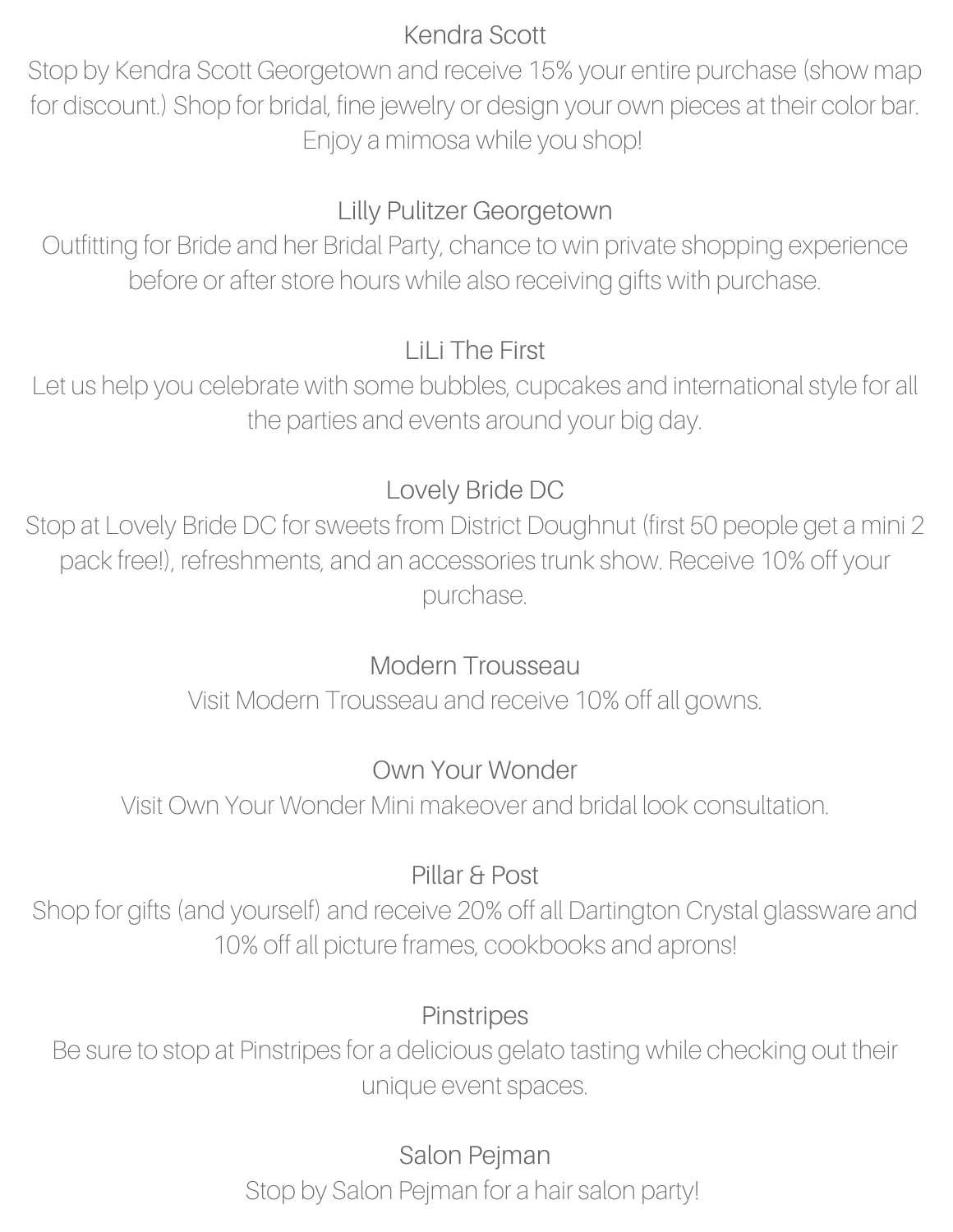#### Kendra Scott

Stop by Kendra Scott Georgetown and receive 15% your entire purchase (show map for discount.) Shop for bridal, fine jewelry or design your own pieces at their color bar. Enjoy a mimosa while you shop!

# Lilly Pulitzer Georgetown

Outfitting for Bride and her Bridal Party, chance to win private shopping experience before or after store hours while also receiving gifts with purchase.

### LiLi The First

Let us help you celebrate with some bubbles, cupcakes and international style for all the parties and events around your big day.

### Lovely Bride DC

Stop at Lovely Bride DC for sweets from District Doughnut (first 50 people get a mini 2 pack free!), refreshments, and an accessories trunk show. Receive 10% off your purchase.

## Modern Trousseau

Visit Modern Trousseau and receive 10% off all gowns.

## Own Your Wonder

Visit Own Your Wonder Mini makeover and bridal look consultation.

## Pillar & Post

Shop for gifts (and yourself) and receive 20% off all Dartington Crystal glassware and 10% off all picture frames, cookbooks and aprons!

### **Pinstripes**

Be sure to stop at Pinstripes for a delicious gelato tasting while checking out their unique event spaces.

> Salon Pejman Stop by Salon Pejman for a hair salon party!